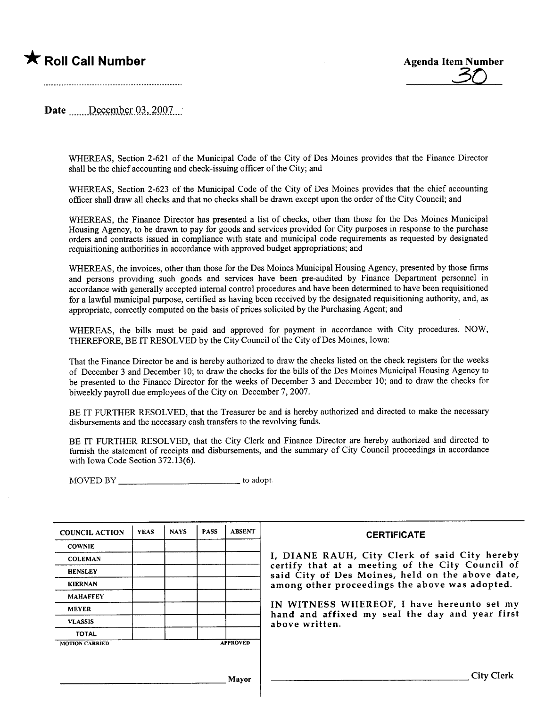

Date  $\qquad$  December 03, 2007.

WHEREAS, Section 2-621 of the Municipal Code of the City of Des Moines provides that the Finance Director shall be the chief accounting and check-issuing officer of the City; and

WHEREAS, Section 2-623 of the Municipal Code of the City of Des Moines provides that the chief accounting officer shall draw all checks and that no checks shall be drawn except upon the order of the City Council: and

WHEREAS, the Finance Director has presented a list of checks, other than those for the Des Moines Municipal Housing Agency, to be drawn to pay for goods and services provided for City purposes in response to the purchase orders and contracts issued in compliance with state and municipal code requirements as requested by designated requisitioning authorities in accordance with approved budget appropriations; and

WHEREAS, the invoices, other than those for the Des Moines Municipal Housing Agency, presented by those firms and persons providing such goods and services have been pre-audited by Finance Department personnel in accordance with generally accepted internal control procedures and have been determined to have been requisitioned for a lawful municipal purpose, certified as having been received by the designated requisitioning authority, and, as appropriate, correctly computed on the basis of prices solicited by the Purchasing Agent; and

WHEREAS, the bils must be paid and approved for payment in accordance with City procedures. NOW, THEREFORE, BE IT RESOLVED by the City Council of the City of Des Moines, Iowa:

That the Finance Director be and is hereby authorized to draw the checks listed on the check registers for the weeks of December 3 and December 10; to draw the checks for the bils of the Des Moines Municipal Housing Agency to be presented to the Finance Director for the weeks of December 3 and December 10; and to draw the checks for biweekly payroll due employees of the City on December 7, 2007.

BE IT FURTHER RESOLVED, that the Treasurer be and is hereby authorized and directed to make the necessary disbursements and the necessary cash transfers to the revolving fuds.

BE IT FURTHER RESOLVED, that the City Clerk and Finance Director are hereby authorized and directed to furnish the statement of receipts and disbursements, and the summary of City Council proceedings in accordance with Iowa Code Section 372.13(6).

MOVED BY to adopt.

| <b>COUNCIL ACTION</b> | <b>YEAS</b> | <b>NAYS</b> | <b>PASS</b>     | <b>ABSENT</b> |
|-----------------------|-------------|-------------|-----------------|---------------|
| <b>COWNIE</b>         |             |             |                 |               |
| <b>COLEMAN</b>        |             |             |                 |               |
| <b>HENSLEY</b>        |             |             |                 |               |
| <b>KIERNAN</b>        |             |             |                 |               |
| <b>MAHAFFEY</b>       |             |             |                 |               |
| <b>MEYER</b>          |             |             |                 |               |
| <b>VLASSIS</b>        |             |             |                 |               |
| <b>TOTAL</b>          |             |             |                 |               |
| <b>MOTION CARRIED</b> |             |             | <b>APPROVED</b> |               |

### **CERTIFICATE**

I, DIANE RAUH, City Clerk of said City hereby certify that at a meeting of the City Council of said City of Des Moines, held on the above date, among other proceedings the above was adopted.

IN WITNESS WHEREOF, I have hereunto set my hand and affixed my seal the day and year first above written.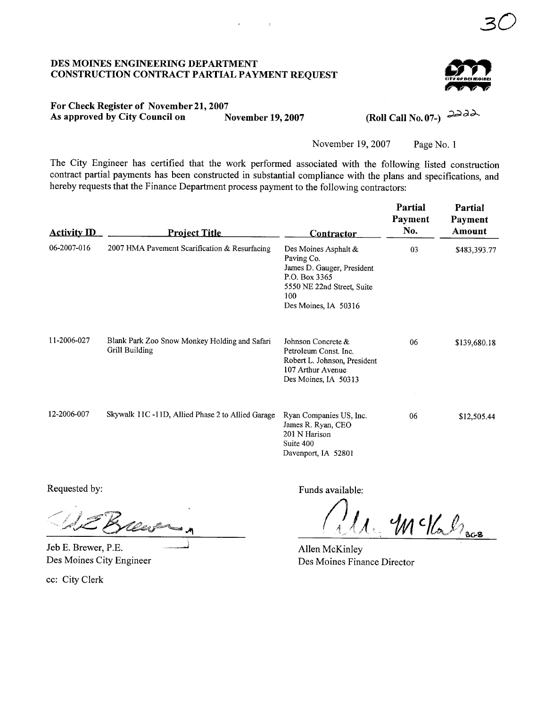# DES MOINES ENGINEERIG DEPARTMENT CONSTRUCTION CONTRACT PARTIAL PAYMENT REQUEST



30

# For Check Register of November 21, 2007<br>As approved by City Council on November 19, 2007 As approved by City Council on

(Roll Call No. 07-)  $\partial \partial \partial \lambda$ 

November 19,2007 Page No.1

The City Engineer has certified that the work performed associated with the following listed construction contract partial payments has been constructed in substantial compliance with the plans and specifications, and hereby requests that the Finance Department process payment to the following contractors:

 $\bar{t}$ 

| <b>Activity ID</b> | <b>Project Title</b>                                            | <b>Contractor</b>                                                                                                                              | Partial<br>Payment<br>No. | Partial<br>Payment<br>Amount |
|--------------------|-----------------------------------------------------------------|------------------------------------------------------------------------------------------------------------------------------------------------|---------------------------|------------------------------|
| 06-2007-016        | 2007 HMA Pavement Scarification & Resurfacing                   | Des Moines Asphalt &<br>Paving Co.<br>James D. Gauger, President<br>P.O. Box 3365<br>5550 NE 22nd Street, Suite<br>100<br>Des Moines, IA 50316 | 03                        | \$483,393.77                 |
| 11-2006-027        | Blank Park Zoo Snow Monkey Holding and Safari<br>Grill Building | Johnson Concrete &<br>Petroleum Const. Inc.<br>Robert L. Johnson, President<br>107 Arthur Avenue<br>Des Moines, IA 50313                       | 06                        | \$139,680.18                 |
| 12-2006-007        | Skywalk 11C-11D, Allied Phase 2 to Allied Garage                | Ryan Companies US, Inc.<br>James R. Ryan, CEO<br>201 N Harison<br>Suite 400<br>Davenport, IA 52801                                             | 06                        | \$12,505.44                  |

Jeb E. Brewer, P.E. Des Moines City Engineer

cc: City Clerk

Requested by: Funds available:

 $\mathcal{W}$  c/ $\ell$   $\ell_{\text{acc}}$ 

Allen McKinley Des Moines Finance Director